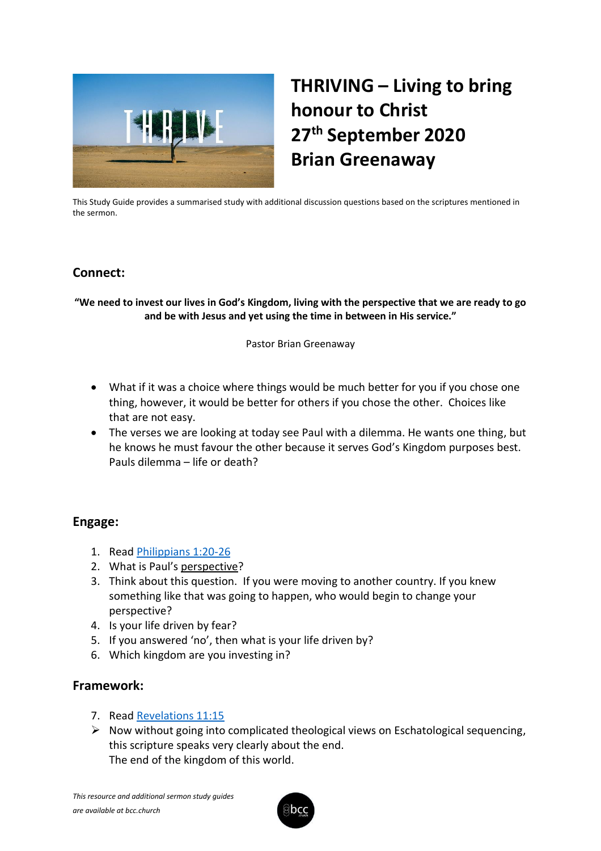

# **THRIVING – Living to bring honour to Christ 27th September 2020 Brian Greenaway**

This Study Guide provides a summarised study with additional discussion questions based on the scriptures mentioned in the sermon.

## **Connect:**

#### **"We need to invest our lives in God's Kingdom, living with the perspective that we are ready to go and be with Jesus and yet using the time in between in His service."**

Pastor Brian Greenaway

- What if it was a choice where things would be much better for you if you chose one thing, however, it would be better for others if you chose the other. Choices like that are not easy.
- The verses we are looking at today see Paul with a dilemma. He wants one thing, but he knows he must favour the other because it serves God's Kingdom purposes best. Pauls dilemma – life or death?

### **Engage:**

- 1. Read [Philippians 1:20-26](https://www.biblegateway.com/passage/?search=Philippians+1%3A20-26&version=ESV)
- 2. What is Paul's perspective?
- 3. Think about this question. If you were moving to another country. If you knew something like that was going to happen, who would begin to change your perspective?
- 4. Is your life driven by fear?
- 5. If you answered 'no', then what is your life driven by?
- 6. Which kingdom are you investing in?

# **Framework:**

- 7. Read [Revelations 11:15](https://www.biblegateway.com/passage/?search=Revelations+11%3A15&version=ESV)
- ➢ Now without going into complicated theological views on Eschatological sequencing, this scripture speaks very clearly about the end. The end of the kingdom of this world.

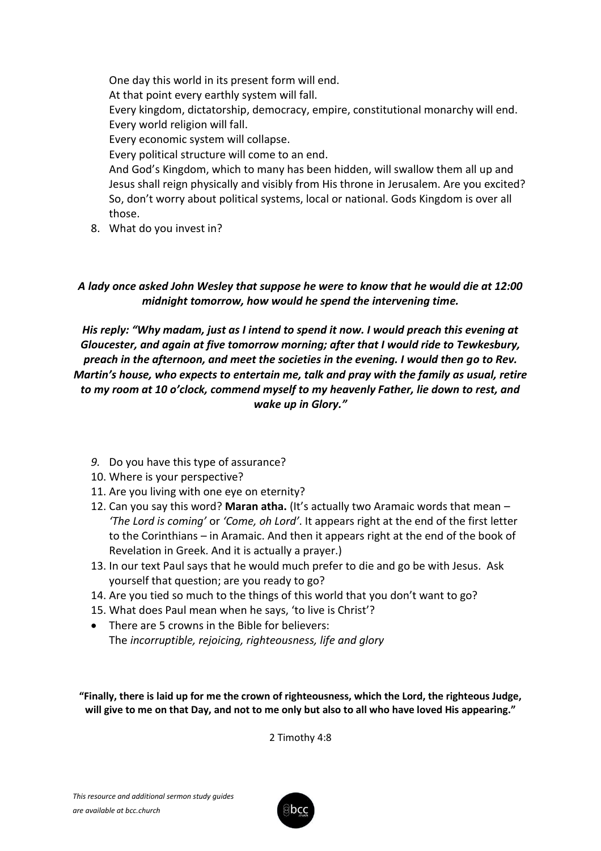One day this world in its present form will end. At that point every earthly system will fall. Every kingdom, dictatorship, democracy, empire, constitutional monarchy will end. Every world religion will fall. Every economic system will collapse. Every political structure will come to an end. And God's Kingdom, which to many has been hidden, will swallow them all up and Jesus shall reign physically and visibly from His throne in Jerusalem. Are you excited? So, don't worry about political systems, local or national. Gods Kingdom is over all those.

8. What do you invest in?

#### *A lady once asked John Wesley that suppose he were to know that he would die at 12:00 midnight tomorrow, how would he spend the intervening time.*

*His reply: "Why madam, just as I intend to spend it now. I would preach this evening at Gloucester, and again at five tomorrow morning; after that I would ride to Tewkesbury, preach in the afternoon, and meet the societies in the evening. I would then go to Rev. Martin's house, who expects to entertain me, talk and pray with the family as usual, retire to my room at 10 o'clock, commend myself to my heavenly Father, lie down to rest, and wake up in Glory."*

- *9.* Do you have this type of assurance?
- 10. Where is your perspective?
- 11. Are you living with one eye on eternity?
- 12. Can you say this word? **Maran atha.** (It's actually two Aramaic words that mean *'The Lord is coming'* or *'Come, oh Lord'*. It appears right at the end of the first letter to the Corinthians – in Aramaic. And then it appears right at the end of the book of Revelation in Greek. And it is actually a prayer.)
- 13. In our text Paul says that he would much prefer to die and go be with Jesus. Ask yourself that question; are you ready to go?
- 14. Are you tied so much to the things of this world that you don't want to go?
- 15. What does Paul mean when he says, 'to live is Christ'?
- There are 5 crowns in the Bible for believers: The *incorruptible, rejoicing, righteousness, life and glory*

**"Finally, there is laid up for me the crown of righteousness, which the Lord, the righteous Judge, will give to me on that Day, and not to me only but also to all who have loved His appearing."**

2 Timothy 4:8